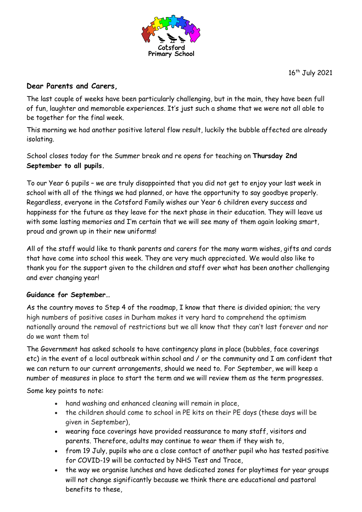

16<sup>th</sup> July 2021

## **Dear Parents and Carers,**

The last couple of weeks have been particularly challenging, but in the main, they have been full of fun, laughter and memorable experiences. It's just such a shame that we were not all able to be together for the final week.

This morning we had another positive lateral flow result, luckily the bubble affected are already isolating.

School closes today for the Summer break and re opens for teaching on **Thursday 2nd September to all pupils.** 

To our Year 6 pupils – we are truly disappointed that you did not get to enjoy your last week in school with all of the things we had planned, or have the opportunity to say goodbye properly. Regardless, everyone in the Cotsford Family wishes our Year 6 children every success and happiness for the future as they leave for the next phase in their education. They will leave us with some lasting memories and I'm certain that we will see many of them again looking smart, proud and grown up in their new uniforms!

All of the staff would like to thank parents and carers for the many warm wishes, gifts and cards that have come into school this week. They are very much appreciated. We would also like to thank you for the support given to the children and staff over what has been another challenging and ever changing year!

## **Guidance for September…**

As the country moves to Step 4 of the roadmap, I know that there is divided opinion; the very high numbers of positive cases in Durham makes it very hard to comprehend the optimism nationally around the removal of restrictions but we all know that they can't last forever and nor do we want them to!

The Government has asked schools to have contingency plans in place (bubbles, face coverings etc) in the event of a local outbreak within school and / or the community and I am confident that we can return to our current arrangements, should we need to. For September, we will keep a number of measures in place to start the term and we will review them as the term progresses.

Some key points to note:

- hand washing and enhanced cleaning will remain in place,
- the children should come to school in PE kits on their PE days (these days will be given in September),
- wearing face coverings have provided reassurance to many staff, visitors and parents. Therefore, adults may continue to wear them if they wish to,
- from 19 July, pupils who are a close contact of another pupil who has tested positive for COVID-19 will be contacted by NHS Test and Trace,
- the way we organise lunches and have dedicated zones for playtimes for year groups will not change significantly because we think there are educational and pastoral benefits to these,